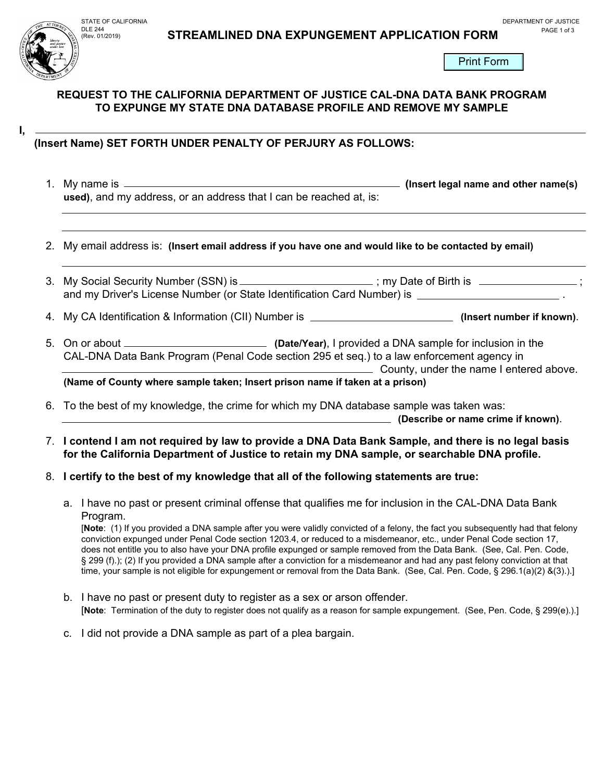# **DLE 244 STREAMLINED DNA EXPUNGEMENT APPLICATION FORM** PAGE 1 of 3



**I,** 

### **REQUEST TO THE CALIFORNIA DEPARTMENT OF JUSTICE CAL-DNA DATA BANK PROGRAM TO EXPUNGE MY STATE DNA DATABASE PROFILE AND REMOVE MY SAMPLE**

## **(Insert Name) SET FORTH UNDER PENALTY OF PERJURY AS FOLLOWS:**

- 1. My name is **(Insert legal name and other name(s) used)**, and my address, or an address that I can be reached at, is:
- 2. My email address is: **(Insert email address if you have one and would like to be contacted by email)**
- 3. My Social Security Number (SSN) is \_\_\_\_\_\_\_\_\_\_\_\_\_\_\_\_\_\_\_; my Date of Birth is \_\_\_\_\_\_\_\_\_\_\_\_\_\_\_\_\_\_\_\_ and my Driver's License Number (or State Identification Card Number) is .
- 4. My CA Identification & Information (CII) Number is **(Insert number if known)**.
- 5. On or about **(Date/Year)**, I provided a DNA sample for inclusion in the CAL-DNA Data Bank Program (Penal Code section 295 et seq.) to a law enforcement agency in County, under the name I entered above.

**(Name of County where sample taken; Insert prison name if taken at a prison)**

6. To the best of my knowledge, the crime for which my DNA database sample was taken was:

**(Describe or name crime if known)**.

7. **I contend I am not required by law to provide a DNA Data Bank Sample, and there is no legal basis for the California Department of Justice to retain my DNA sample, or searchable DNA profile.**

#### 8. **I certify to the best of my knowledge that all of the following statements are true:**

a. I have no past or present criminal offense that qualifies me for inclusion in the CAL-DNA Data Bank Program.

[**Note**: (1) If you provided a DNA sample after you were validly convicted of a felony, the fact you subsequently had that felony conviction expunged under Penal Code section 1203.4, or reduced to a misdemeanor, etc., under Penal Code section 17, does not entitle you to also have your DNA profile expunged or sample removed from the Data Bank. (See, Cal. Pen. Code, § 299 (f).); (2) If you provided a DNA sample after a conviction for a misdemeanor and had any past felony conviction at that time, your sample is not eligible for expungement or removal from the Data Bank. (See, Cal. Pen. Code, § 296.1(a)(2) &(3).).]

- b. I have no past or present duty to register as a sex or arson offender. [**Note**: Termination of the duty to register does not qualify as a reason for sample expungement. (See, Pen. Code, § 299(e).).]
- c. I did not provide a DNA sample as part of a plea bargain.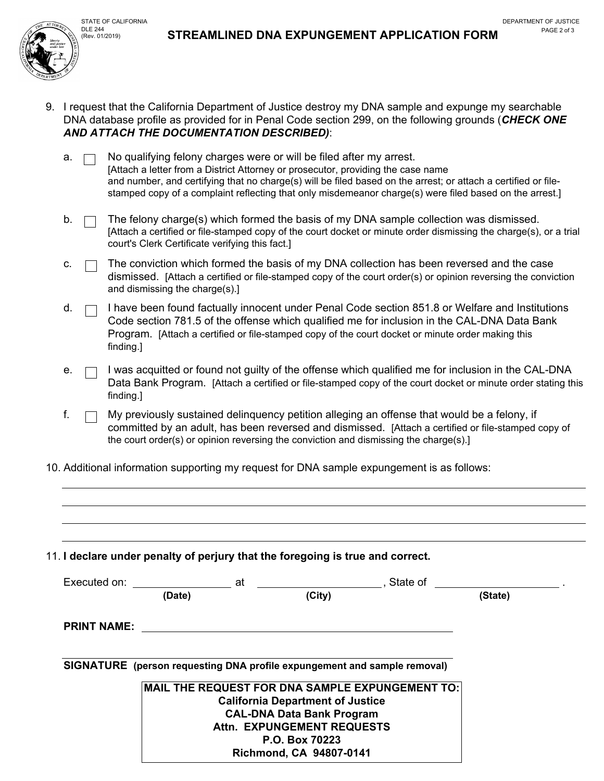

- 9. I request that the California Department of Justice destroy my DNA sample and expunge my searchable DNA database profile as provided for in Penal Code section 299, on the following grounds (*CHECK ONE AND ATTACH THE DOCUMENTATION DESCRIBED)*:
	- $a. \Box$  No qualifying felony charges were or will be filed after my arrest. [Attach a letter from a District Attorney or prosecutor, providing the case name and number, and certifying that no charge(s) will be filed based on the arrest; or attach a certified or filestamped copy of a complaint reflecting that only misdemeanor charge(s) were filed based on the arrest.]
	- $b.$  The felony charge(s) which formed the basis of my DNA sample collection was dismissed. [Attach a certified or file-stamped copy of the court docket or minute order dismissing the charge(s), or a trial court's Clerk Certificate verifying this fact.]
	- c.  $\Box$  The conviction which formed the basis of my DNA collection has been reversed and the case dismissed. [Attach a certified or file-stamped copy of the court order(s) or opinion reversing the conviction and dismissing the charge(s).]
	- $d.$   $\Box$  I have been found factually innocent under Penal Code section 851.8 or Welfare and Institutions Code section 781.5 of the offense which qualified me for inclusion in the CAL-DNA Data Bank Program. [Attach a certified or file-stamped copy of the court docket or minute order making this finding.]
	- e.  $\Box$  I was acquitted or found not quilty of the offense which qualified me for inclusion in the CAL-DNA Data Bank Program. [Attach a certified or file-stamped copy of the court docket or minute order stating this finding.]
	- f.  $\Box$  My previously sustained delinguency petition alleging an offense that would be a felony, if committed by an adult, has been reversed and dismissed. [Attach a certified or file-stamped copy of the court order(s) or opinion reversing the conviction and dismissing the charge(s).]
- 10. Additional information supporting my request for DNA sample expungement is as follows:

11. **I declare under penalty of perjury that the foregoing is true and correct.**  Executed on:  $\qquad \qquad \qquad$  at  $\qquad \qquad$  . State of \_ **(Date) (City) (State) PRINT NAME: SIGNATURE (person requesting DNA profile expungement and sample removal) MAIL THE REQUEST FOR DNA SAMPLE EXPUNGEMENT TO: California Department of Justice CAL-DNA Data Bank Program Attn. EXPUNGEMENT REQUESTS P.O. Box 70223** 

**Richmond, CA 94807-0141**